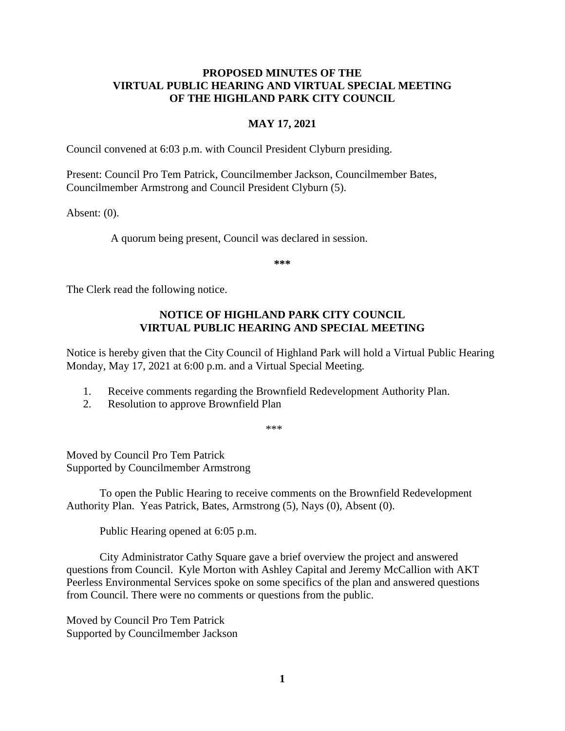# **PROPOSED MINUTES OF THE VIRTUAL PUBLIC HEARING AND VIRTUAL SPECIAL MEETING OF THE HIGHLAND PARK CITY COUNCIL**

## **MAY 17, 2021**

Council convened at 6:03 p.m. with Council President Clyburn presiding.

Present: Council Pro Tem Patrick, Councilmember Jackson, Councilmember Bates, Councilmember Armstrong and Council President Clyburn (5).

Absent: (0).

A quorum being present, Council was declared in session.

**\*\*\***

The Clerk read the following notice.

# **NOTICE OF HIGHLAND PARK CITY COUNCIL VIRTUAL PUBLIC HEARING AND SPECIAL MEETING**

Notice is hereby given that the City Council of Highland Park will hold a Virtual Public Hearing Monday, May 17, 2021 at 6:00 p.m. and a Virtual Special Meeting.

- 1. Receive comments regarding the Brownfield Redevelopment Authority Plan.
- 2. Resolution to approve Brownfield Plan

\*\*\*

Moved by Council Pro Tem Patrick Supported by Councilmember Armstrong

To open the Public Hearing to receive comments on the Brownfield Redevelopment Authority Plan. Yeas Patrick, Bates, Armstrong (5), Nays (0), Absent (0).

Public Hearing opened at 6:05 p.m.

City Administrator Cathy Square gave a brief overview the project and answered questions from Council. Kyle Morton with Ashley Capital and Jeremy McCallion with AKT Peerless Environmental Services spoke on some specifics of the plan and answered questions from Council. There were no comments or questions from the public.

Moved by Council Pro Tem Patrick Supported by Councilmember Jackson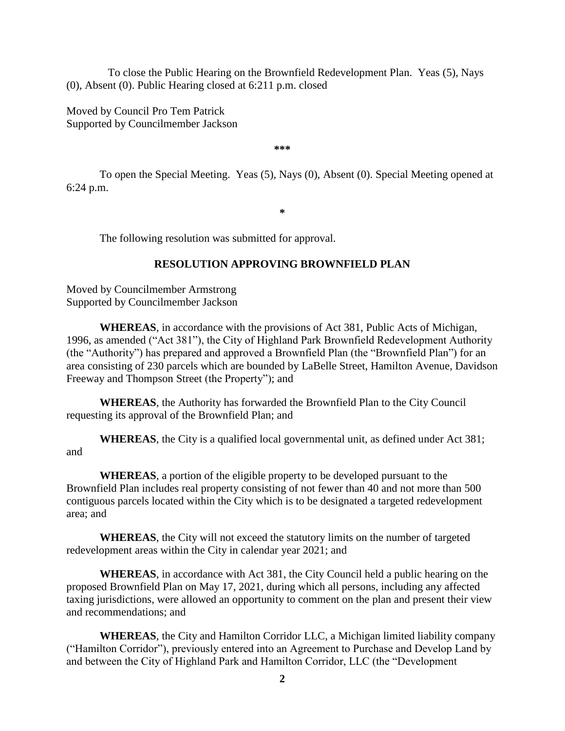To close the Public Hearing on the Brownfield Redevelopment Plan. Yeas (5), Nays (0), Absent (0). Public Hearing closed at 6:211 p.m. closed

Moved by Council Pro Tem Patrick Supported by Councilmember Jackson

**\*\*\***

To open the Special Meeting. Yeas (5), Nays (0), Absent (0). Special Meeting opened at 6:24 p.m.

**\***

The following resolution was submitted for approval.

#### **RESOLUTION APPROVING BROWNFIELD PLAN**

Moved by Councilmember Armstrong Supported by Councilmember Jackson

**WHEREAS**, in accordance with the provisions of Act 381, Public Acts of Michigan, 1996, as amended ("Act 381"), the City of Highland Park Brownfield Redevelopment Authority (the "Authority") has prepared and approved a Brownfield Plan (the "Brownfield Plan") for an area consisting of 230 parcels which are bounded by LaBelle Street, Hamilton Avenue, Davidson Freeway and Thompson Street (the Property"); and

**WHEREAS**, the Authority has forwarded the Brownfield Plan to the City Council requesting its approval of the Brownfield Plan; and

**WHEREAS**, the City is a qualified local governmental unit, as defined under Act 381; and

**WHEREAS**, a portion of the eligible property to be developed pursuant to the Brownfield Plan includes real property consisting of not fewer than 40 and not more than 500 contiguous parcels located within the City which is to be designated a targeted redevelopment area; and

**WHEREAS**, the City will not exceed the statutory limits on the number of targeted redevelopment areas within the City in calendar year 2021; and

**WHEREAS**, in accordance with Act 381, the City Council held a public hearing on the proposed Brownfield Plan on May 17, 2021, during which all persons, including any affected taxing jurisdictions, were allowed an opportunity to comment on the plan and present their view and recommendations; and

**WHEREAS**, the City and Hamilton Corridor LLC, a Michigan limited liability company ("Hamilton Corridor"), previously entered into an Agreement to Purchase and Develop Land by and between the City of Highland Park and Hamilton Corridor, LLC (the "Development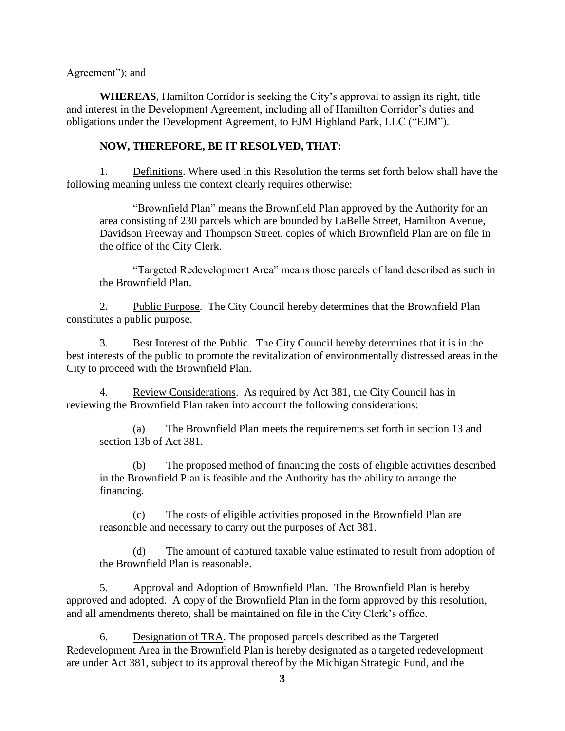Agreement"); and

**WHEREAS**, Hamilton Corridor is seeking the City's approval to assign its right, title and interest in the Development Agreement, including all of Hamilton Corridor's duties and obligations under the Development Agreement, to EJM Highland Park, LLC ("EJM").

## **NOW, THEREFORE, BE IT RESOLVED, THAT:**

1. Definitions. Where used in this Resolution the terms set forth below shall have the following meaning unless the context clearly requires otherwise:

"Brownfield Plan" means the Brownfield Plan approved by the Authority for an area consisting of 230 parcels which are bounded by LaBelle Street, Hamilton Avenue, Davidson Freeway and Thompson Street, copies of which Brownfield Plan are on file in the office of the City Clerk.

"Targeted Redevelopment Area" means those parcels of land described as such in the Brownfield Plan.

2. Public Purpose. The City Council hereby determines that the Brownfield Plan constitutes a public purpose.

3. Best Interest of the Public. The City Council hereby determines that it is in the best interests of the public to promote the revitalization of environmentally distressed areas in the City to proceed with the Brownfield Plan.

4. Review Considerations. As required by Act 381, the City Council has in reviewing the Brownfield Plan taken into account the following considerations:

(a) The Brownfield Plan meets the requirements set forth in section 13 and section 13b of Act 381.

(b) The proposed method of financing the costs of eligible activities described in the Brownfield Plan is feasible and the Authority has the ability to arrange the financing.

(c) The costs of eligible activities proposed in the Brownfield Plan are reasonable and necessary to carry out the purposes of Act 381.

(d) The amount of captured taxable value estimated to result from adoption of the Brownfield Plan is reasonable.

5. Approval and Adoption of Brownfield Plan. The Brownfield Plan is hereby approved and adopted. A copy of the Brownfield Plan in the form approved by this resolution, and all amendments thereto, shall be maintained on file in the City Clerk's office.

6. Designation of TRA. The proposed parcels described as the Targeted Redevelopment Area in the Brownfield Plan is hereby designated as a targeted redevelopment are under Act 381, subject to its approval thereof by the Michigan Strategic Fund, and the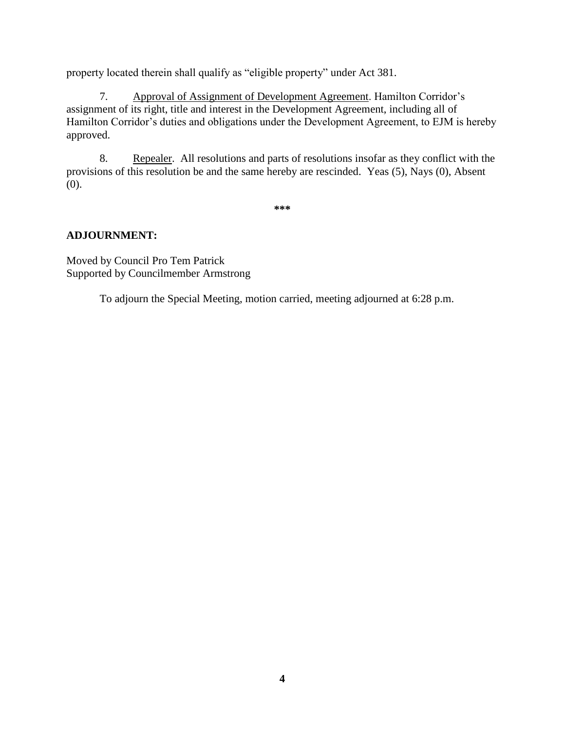property located therein shall qualify as "eligible property" under Act 381.

7. Approval of Assignment of Development Agreement. Hamilton Corridor's assignment of its right, title and interest in the Development Agreement, including all of Hamilton Corridor's duties and obligations under the Development Agreement, to EJM is hereby approved.

8. Repealer. All resolutions and parts of resolutions insofar as they conflict with the provisions of this resolution be and the same hereby are rescinded. Yeas (5), Nays (0), Absent (0).

**\*\*\***

# **ADJOURNMENT:**

Moved by Council Pro Tem Patrick Supported by Councilmember Armstrong

To adjourn the Special Meeting, motion carried, meeting adjourned at 6:28 p.m.